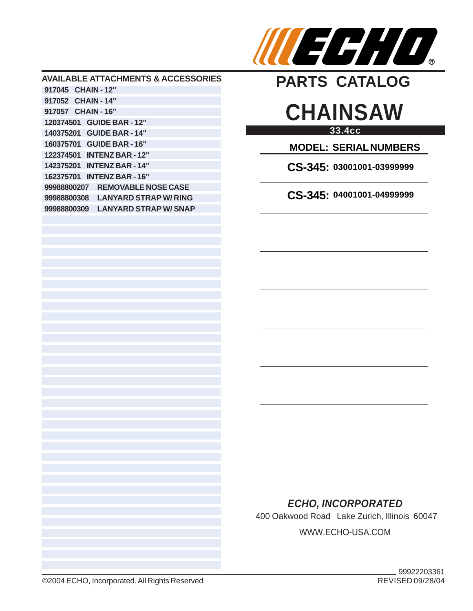

#### **AVAILABLE ATTACHMENTS & ACCESSORIES 917045 CHAIN - 12" 917052 CHAIN - 14" 917057 CHAIN - 16" 120374501 GUIDE BAR - 12" 140375201 GUIDE BAR - 14" 160375701 GUIDE BAR - 16" 122374501 INTENZ BAR - 12" 142375201 INTENZ BAR - 14" 162375701 INTENZ BAR - 16" 99988800207 REMOVABLE NOSE CASE 99988800308 LANYARD STRAP W/ RING 99988800309 LANYARD STRAP W/ SNAP**

# **PARTS CATALOG**

## **33.4cc CHAINSAW**

**MODEL: SERIAL NUMBERS**

**CS-345: 03001001-03999999**

**CS-345: 04001001-04999999**

### *ECHO, INCORPORATED*

400 Oakwood Road Lake Zurich, Illinois 60047

WWW.ECHO-USA.COM

©2004 ECHO, Incorporated. All Rights Reserved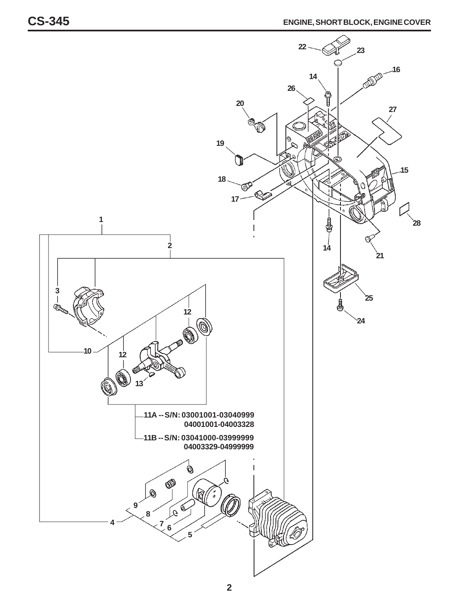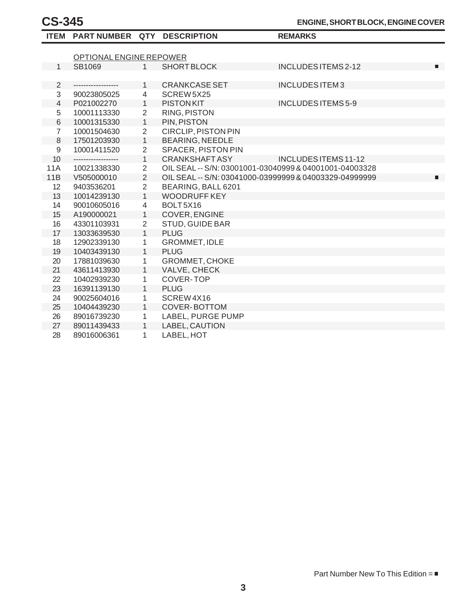|                | ITEM PART NUMBER QTY DESCRIPTION |                |                                                        | <b>REMARKS</b>            |  |  |
|----------------|----------------------------------|----------------|--------------------------------------------------------|---------------------------|--|--|
|                |                                  |                |                                                        |                           |  |  |
|                | OPTIONAL ENGINE REPOWER          |                |                                                        |                           |  |  |
| $\mathbf{1}$   | SB1069                           | $\mathbf{1}$   | <b>SHORT BLOCK</b>                                     | INCLUDES ITEMS 2-12<br>п  |  |  |
|                |                                  |                |                                                        |                           |  |  |
| $\overline{2}$ | ------------------               | $\mathbf{1}$   | <b>CRANKCASE SET</b>                                   | INCLUDES ITEM3            |  |  |
| 3              | 90023805025                      | 4              | SCREW 5X25                                             |                           |  |  |
| 4              | P021002270                       | $\mathbf{1}$   | <b>PISTONKIT</b>                                       | <b>INCLUDES ITEMS 5-9</b> |  |  |
| 5              | 10001113330                      | $\overline{2}$ | <b>RING, PISTON</b>                                    |                           |  |  |
| $\,$ 6 $\,$    | 10001315330                      | $\mathbf{1}$   | PIN, PISTON                                            |                           |  |  |
| $\overline{7}$ | 10001504630                      | $\overline{2}$ | <b>CIRCLIP, PISTON PIN</b>                             |                           |  |  |
| 8              | 17501203930                      | $\mathbf{1}$   | <b>BEARING, NEEDLE</b>                                 |                           |  |  |
| $9\,$          | 10001411520                      | $\overline{2}$ | <b>SPACER, PISTON PIN</b>                              |                           |  |  |
| 10             | ------------------               | $\mathbf{1}$   | <b>CRANKSHAFT ASY</b>                                  | INCLUDES ITEMS 11-12      |  |  |
| <b>11A</b>     | 10021338330                      | $\overline{2}$ | OIL SEAL -- S/N: 03001001-03040999 & 04001001-04003328 |                           |  |  |
| 11B            | V505000010                       | $\overline{2}$ | OIL SEAL -- S/N: 03041000-03999999 & 04003329-04999999 | п                         |  |  |
| 12             | 9403536201                       | $\overline{2}$ | BEARING, BALL 6201                                     |                           |  |  |
| 13             | 10014239130                      | $\mathbf{1}$   | <b>WOODRUFF KEY</b>                                    |                           |  |  |
| 14             | 90010605016                      | 4              | BOLT5X16                                               |                           |  |  |
| 15             | A190000021                       | $\mathbf{1}$   | COVER, ENGINE                                          |                           |  |  |
| 16             | 43301103931                      | $\overline{2}$ | <b>STUD, GUIDE BAR</b>                                 |                           |  |  |
| 17             | 13033639530                      | $\mathbf{1}$   | <b>PLUG</b>                                            |                           |  |  |
| 18             | 12902339130                      | 1              | <b>GROMMET, IDLE</b>                                   |                           |  |  |
| 19             | 10403439130                      | $\mathbf{1}$   | <b>PLUG</b>                                            |                           |  |  |
| 20             | 17881039630                      | $\mathbf{1}$   | <b>GROMMET, CHOKE</b>                                  |                           |  |  |
| 21             | 43611413930                      | $\mathbf{1}$   | VALVE, CHECK                                           |                           |  |  |
| 22             | 10402939230                      | 1              | <b>COVER-TOP</b>                                       |                           |  |  |
| 23             | 16391139130                      | $\mathbf{1}$   | <b>PLUG</b>                                            |                           |  |  |
| 24             | 90025604016                      | $\mathbf{1}$   | SCREW4X16                                              |                           |  |  |
| 25             | 10404439230                      | $\mathbf{1}$   | <b>COVER-BOTTOM</b>                                    |                           |  |  |
| 26             | 89016739230                      | 1              | LABEL, PURGE PUMP                                      |                           |  |  |
| 27             | 89011439433                      | $\mathbf{1}$   | LABEL, CAUTION                                         |                           |  |  |
| 28             | 89016006361                      | 1              | LABEL, HOT                                             |                           |  |  |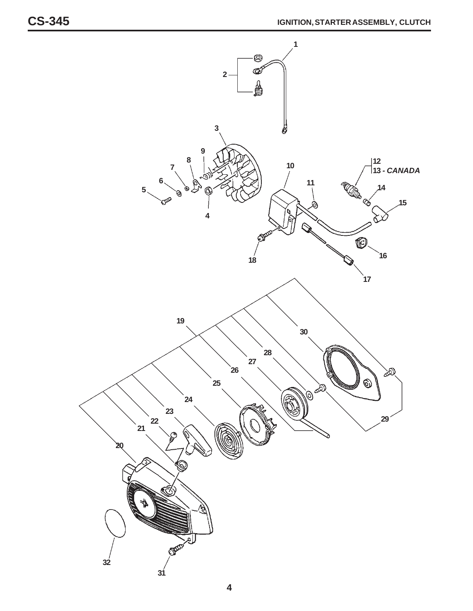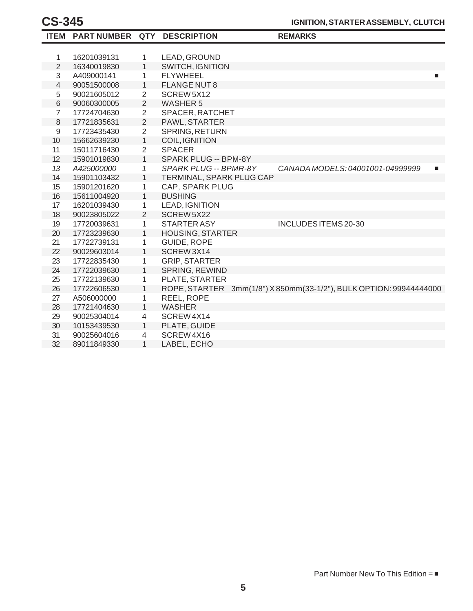|                | ITEM PART NUMBER QTY DESCRIPTION |                |                          | <b>REMARKS</b>                                                     |
|----------------|----------------------------------|----------------|--------------------------|--------------------------------------------------------------------|
|                |                                  |                |                          |                                                                    |
| 1              | 16201039131                      | 1              | LEAD, GROUND             |                                                                    |
| $\overline{2}$ | 16340019830                      | $\mathbf{1}$   | <b>SWITCH, IGNITION</b>  |                                                                    |
| 3              | A409000141                       | 1              | <b>FLYWHEEL</b>          | П                                                                  |
| 4              | 90051500008                      | 1              | <b>FLANGE NUT 8</b>      |                                                                    |
| 5              | 90021605012                      | $\overline{2}$ | SCREW5X12                |                                                                    |
| 6              | 90060300005                      | $\overline{2}$ | <b>WASHER 5</b>          |                                                                    |
| $\overline{7}$ | 17724704630                      | $\mathbf{2}$   | SPACER, RATCHET          |                                                                    |
| 8              | 17721835631                      | $\overline{2}$ | PAWL, STARTER            |                                                                    |
| $\mathsf g$    | 17723435430                      | $\overline{2}$ | SPRING, RETURN           |                                                                    |
| 10             | 15662639230                      | 1              | <b>COIL, IGNITION</b>    |                                                                    |
| 11             | 15011716430                      | $\overline{2}$ | <b>SPACER</b>            |                                                                    |
| 12             | 15901019830                      | $\mathbf{1}$   | SPARK PLUG -- BPM-8Y     |                                                                    |
| 13             | A425000000                       | 1              | SPARK PLUG -- BPMR-8Y    | CANADA MODELS: 04001001-04999999<br>$\Box$                         |
| 14             | 15901103432                      | 1              | TERMINAL, SPARK PLUG CAP |                                                                    |
| 15             | 15901201620                      | 1              | CAP, SPARK PLUG          |                                                                    |
| 16             | 15611004920                      | 1              | <b>BUSHING</b>           |                                                                    |
| 17             | 16201039430                      | 1              | <b>LEAD, IGNITION</b>    |                                                                    |
| 18             | 90023805022                      | $\overline{2}$ | SCREW5X22                |                                                                    |
| 19             | 17720039631                      | 1              | <b>STARTER ASY</b>       | INCLUDES ITEMS 20-30                                               |
| 20             | 17723239630                      | 1              | <b>HOUSING, STARTER</b>  |                                                                    |
| 21             | 17722739131                      | 1              | GUIDE, ROPE              |                                                                    |
| 22             | 90029603014                      | $\mathbf{1}$   | SCREW3X14                |                                                                    |
| 23             | 17722835430                      | 1              | <b>GRIP, STARTER</b>     |                                                                    |
| 24             | 17722039630                      | $\mathbf{1}$   | SPRING, REWIND           |                                                                    |
| 25             | 17722139630                      | 1              | PLATE, STARTER           |                                                                    |
| 26             | 17722606530                      | 1              |                          | ROPE, STARTER 3mm(1/8") X 850mm(33-1/2"), BULK OPTION: 99944444000 |
| 27             | A506000000                       | 1              | REEL, ROPE               |                                                                    |
| 28             | 17721404630                      | $\mathbf{1}$   | <b>WASHER</b>            |                                                                    |
| 29             | 90025304014                      | 4              | SCREW4X14                |                                                                    |
| 30             | 10153439530                      | 1              | PLATE, GUIDE             |                                                                    |
| 31             | 90025604016                      | 4              | SCREW4X16                |                                                                    |
| 32             | 89011849330                      | 1              | LABEL, ECHO              |                                                                    |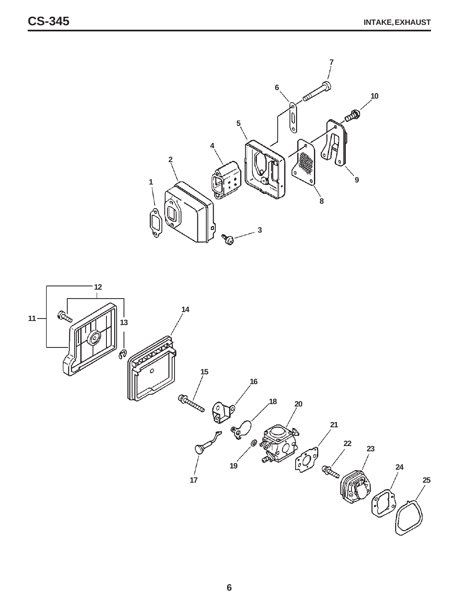

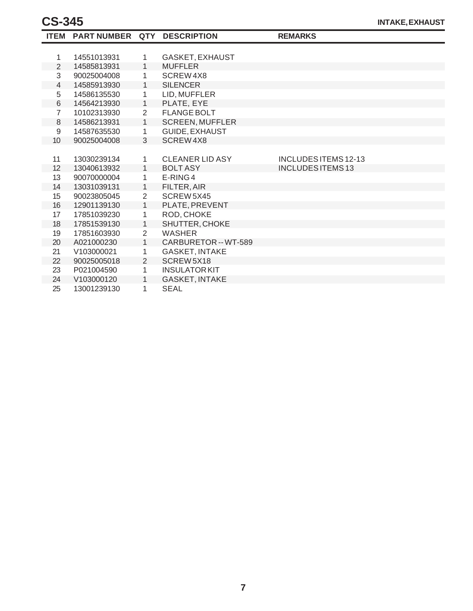|                | ITEM PART NUMBER QTY DESCRIPTION |                |                        | <b>REMARKS</b>              |
|----------------|----------------------------------|----------------|------------------------|-----------------------------|
|                |                                  |                |                        |                             |
| 1              | 14551013931                      | 1.             | GASKET, EXHAUST        |                             |
| 2              | 14585813931                      | $\mathbf{1}$   | <b>MUFFLER</b>         |                             |
| 3              | 90025004008                      | 1              | SCREW4X8               |                             |
| 4              | 14585913930                      | $\mathbf{1}$   | <b>SILENCER</b>        |                             |
| 5              | 14586135530                      | 1              | LID, MUFFLER           |                             |
| 6              | 14564213930                      | $\mathbf{1}$   | PLATE, EYE             |                             |
| $\overline{7}$ | 10102313930                      | $\overline{2}$ | <b>FLANGE BOLT</b>     |                             |
| 8              | 14586213931                      | $\mathbf{1}$   | <b>SCREEN, MUFFLER</b> |                             |
| 9              | 14587635530                      | 1              | GUIDE, EXHAUST         |                             |
| 10             | 90025004008                      | 3              | SCREW4X8               |                             |
|                |                                  |                |                        |                             |
| 11             | 13030239134                      | 1.             | <b>CLEANER LID ASY</b> | <b>INCLUDES ITEMS 12-13</b> |
| 12             | 13040613932                      | $\mathbf{1}$   | <b>BOLT ASY</b>        | <b>INCLUDES ITEMS 13</b>    |
| 13             | 90070000004                      | 1              | E-RING4                |                             |
| 14             | 13031039131                      | $\mathbf{1}$   | FILTER, AIR            |                             |
| 15             | 90023805045                      | $\overline{2}$ | SCREW 5X45             |                             |
| 16             | 12901139130                      | $\mathbf{1}$   | PLATE, PREVENT         |                             |
| 17             | 17851039230                      | 1              | ROD, CHOKE             |                             |
| 18             | 17851539130                      | $\mathbf{1}$   | SHUTTER, CHOKE         |                             |
| 19             | 17851603930                      | $\overline{2}$ | <b>WASHER</b>          |                             |
| 20             | A021000230                       | 1              | CARBURETOR -- WT-589   |                             |
| 21             | V103000021                       | 1              | <b>GASKET, INTAKE</b>  |                             |
| 22             | 90025005018                      | $\overline{2}$ | SCREW 5X18             |                             |
| 23             | P021004590                       | $\mathbf{1}$   | <b>INSULATOR KIT</b>   |                             |
| 24             | V103000120                       | $\mathbf{1}$   | <b>GASKET, INTAKE</b>  |                             |
| 25             | 13001239130                      | 1              | <b>SEAL</b>            |                             |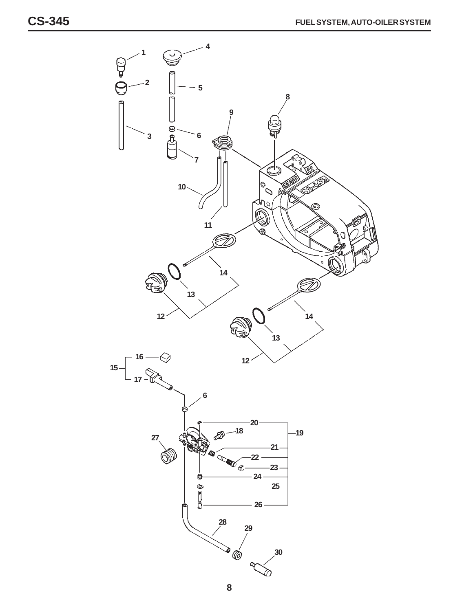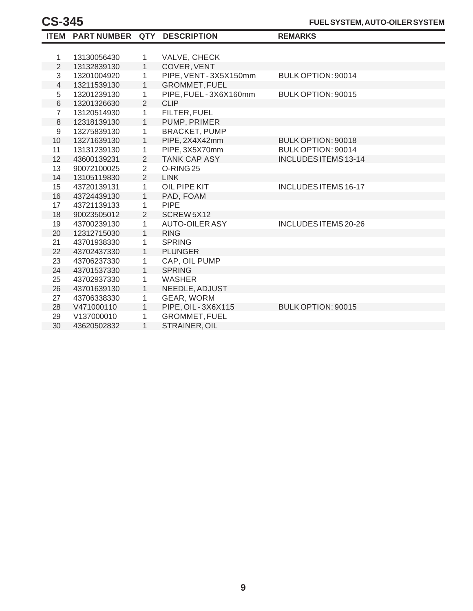|                | ITEM PART NUMBER QTY DESCRIPTION |                |                       | <b>REMARKS</b>              |
|----------------|----------------------------------|----------------|-----------------------|-----------------------------|
|                |                                  |                |                       |                             |
| 1              | 13130056430                      | 1              | VALVE, CHECK          |                             |
| $\overline{2}$ | 13132839130                      | $\mathbf{1}$   | COVER, VENT           |                             |
| 3              | 13201004920                      | 1              | PIPE, VENT-3X5X150mm  | BULK OPTION: 90014          |
| $\overline{4}$ | 13211539130                      | 1              | <b>GROMMET, FUEL</b>  |                             |
| 5              | 13201239130                      | $\mathbf{1}$   | PIPE, FUEL-3X6X160mm  | BULK OPTION: 90015          |
| $\,$ 6 $\,$    | 13201326630                      | 2              | <b>CLIP</b>           |                             |
| $\overline{7}$ | 13120514930                      | 1              | FILTER, FUEL          |                             |
| 8              | 12318139130                      | $\mathbf{1}$   | PUMP, PRIMER          |                             |
| $\mathsf 9$    | 13275839130                      | 1              | <b>BRACKET, PUMP</b>  |                             |
| 10             | 13271639130                      | $\mathbf{1}$   | PIPE, 2X4X42mm        | BULK OPTION: 90018          |
| 11             | 13131239130                      | 1              | PIPE, 3X5X70mm        | BULK OPTION: 90014          |
| 12             | 43600139231                      | $\overline{2}$ | <b>TANK CAP ASY</b>   | INCLUDES ITEMS 13-14        |
| 13             | 90072100025                      | $\overline{2}$ | O-RING <sub>25</sub>  |                             |
| 14             | 13105119830                      | $\overline{2}$ | <b>LINK</b>           |                             |
| 15             | 43720139131                      | 1              | OIL PIPE KIT          | <b>INCLUDES ITEMS 16-17</b> |
| 16             | 43724439130                      | $\mathbf{1}$   | PAD, FOAM             |                             |
| 17             | 43721139133                      | 1              | <b>PIPE</b>           |                             |
| 18             | 90023505012                      | 2              | SCREW5X12             |                             |
| 19             | 43700239130                      | 1              | <b>AUTO-OILER ASY</b> | INCLUDES ITEMS 20-26        |
| 20             | 12312715030                      | 1              | <b>RING</b>           |                             |
| 21             | 43701938330                      | 1              | <b>SPRING</b>         |                             |
| 22             | 43702437330                      | $\mathbf{1}$   | <b>PLUNGER</b>        |                             |
| 23             | 43706237330                      | 1              | CAP, OIL PUMP         |                             |
| 24             | 43701537330                      | $\mathbf{1}$   | <b>SPRING</b>         |                             |
| 25             | 43702937330                      | 1              | <b>WASHER</b>         |                             |
| 26             | 43701639130                      | $\mathbf{1}$   | NEEDLE, ADJUST        |                             |
| 27             | 43706338330                      | 1              | GEAR, WORM            |                             |
| 28             | V471000110                       | $\mathbf{1}$   | PIPE, OIL - 3X6X115   | BULK OPTION: 90015          |
| 29             | V137000010                       | 1              | <b>GROMMET, FUEL</b>  |                             |
| 30             | 43620502832                      | $\mathbf{1}$   | STRAINER, OIL         |                             |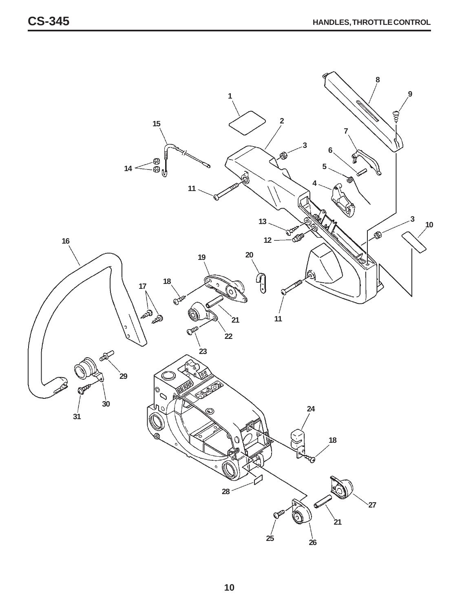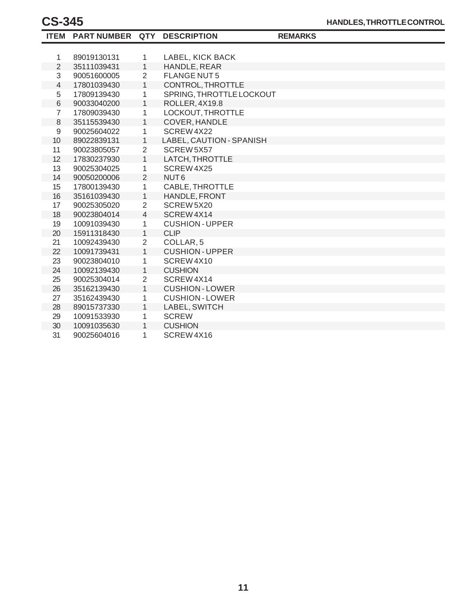|                | ITEM PART NUMBER QTY DESCRIPTION |                |                          | <b>REMARKS</b> |
|----------------|----------------------------------|----------------|--------------------------|----------------|
|                |                                  |                |                          |                |
| 1              | 89019130131                      | $\mathbf{1}$   | LABEL, KICK BACK         |                |
| $\overline{2}$ | 35111039431                      | $\mathbf{1}$   | HANDLE, REAR             |                |
| 3              | 90051600005                      | 2              | <b>FLANGE NUT5</b>       |                |
| $\overline{4}$ | 17801039430                      | $\mathbf{1}$   | CONTROL, THROTTLE        |                |
| 5              | 17809139430                      | 1              | SPRING, THROTTLE LOCKOUT |                |
| 6              | 90033040200                      | 1              | ROLLER, 4X19.8           |                |
| $\overline{7}$ | 17809039430                      | 1              | LOCKOUT, THROTTLE        |                |
| $\,8\,$        | 35115539430                      | $\mathbf{1}$   | COVER, HANDLE            |                |
| 9              | 90025604022                      | 1              | SCREW4X22                |                |
| 10             | 89022839131                      | 1              | LABEL, CAUTION - SPANISH |                |
| 11             | 90023805057                      | $\overline{2}$ | SCREW 5X57               |                |
| 12             | 17830237930                      | $\mathbf{1}$   | LATCH, THROTTLE          |                |
| 13             | 90025304025                      | 1              | SCREW4X25                |                |
| 14             | 90050200006                      | $\overline{2}$ | NUT <sub>6</sub>         |                |
| 15             | 17800139430                      | 1              | CABLE, THROTTLE          |                |
| 16             | 35161039430                      | $\mathbf{1}$   | HANDLE, FRONT            |                |
| 17             | 90025305020                      | $\overline{2}$ | SCREW5X20                |                |
| 18             | 90023804014                      | $\overline{4}$ | SCREW4X14                |                |
| 19             | 10091039430                      | 1              | <b>CUSHION-UPPER</b>     |                |
| 20             | 15911318430                      | $\mathbf{1}$   | <b>CLIP</b>              |                |
| 21             | 10092439430                      | $\overline{2}$ | COLLAR, 5                |                |
| 22             | 10091739431                      | $\mathbf{1}$   | <b>CUSHION - UPPER</b>   |                |
| 23             | 90023804010                      | 1              | SCREW4X10                |                |
| 24             | 10092139430                      | 1              | <b>CUSHION</b>           |                |
| 25             | 90025304014                      | $\overline{2}$ | SCREW4X14                |                |
| 26             | 35162139430                      | $\mathbf{1}$   | <b>CUSHION - LOWER</b>   |                |
| 27             | 35162439430                      | 1              | <b>CUSHION-LOWER</b>     |                |
| 28             | 89015737330                      | 1              | LABEL, SWITCH            |                |
| 29             | 10091533930                      | 1              | <b>SCREW</b>             |                |
| 30             | 10091035630                      | 1              | <b>CUSHION</b>           |                |
| 31             | 90025604016                      | 1              | SCREW4X16                |                |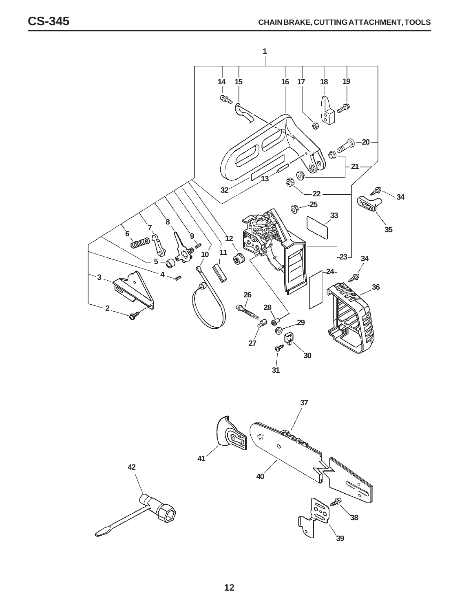

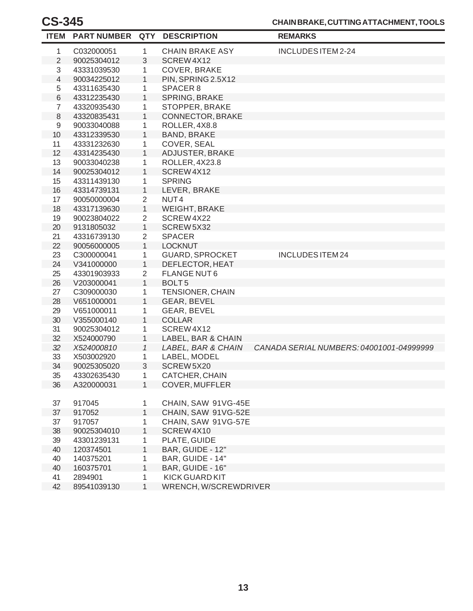| <b>ITEM</b>    | <b>PART NUMBER</b> | <b>QTY</b>     | <b>DESCRIPTION</b>     | <b>REMARKS</b>                           |
|----------------|--------------------|----------------|------------------------|------------------------------------------|
| 1              | C032000051         | 1              | <b>CHAIN BRAKE ASY</b> | INCLUDES ITEM 2-24                       |
| $\overline{2}$ | 90025304012        | 3              | SCREW4X12              |                                          |
| 3              | 43331039530        | 1              | COVER, BRAKE           |                                          |
| 4              | 90034225012        | 1              | PIN, SPRING 2.5X12     |                                          |
| 5              | 43311635430        | 1              | SPACER 8               |                                          |
| 6              | 43312235430        | $\mathbf{1}$   | SPRING, BRAKE          |                                          |
| 7              | 43320935430        | 1              | STOPPER, BRAKE         |                                          |
| 8              | 43320835431        | 1              | CONNECTOR, BRAKE       |                                          |
| 9              | 90033040088        | 1              | ROLLER, 4X8.8          |                                          |
| 10             | 43312339530        | 1              | <b>BAND, BRAKE</b>     |                                          |
| 11             | 43331232630        | 1              | COVER, SEAL            |                                          |
| 12             | 43314235430        | 1              | ADJUSTER, BRAKE        |                                          |
| 13             | 90033040238        | 1              | ROLLER, 4X23.8         |                                          |
| 14             | 90025304012        | 1              | SCREW4X12              |                                          |
| 15             | 43311439130        | 1              | <b>SPRING</b>          |                                          |
| 16             | 43314739131        | 1              | LEVER, BRAKE           |                                          |
| 17             | 90050000004        | $\overline{2}$ | NUT <sub>4</sub>       |                                          |
| 18             | 43317139630        | $\mathbf{1}$   | <b>WEIGHT, BRAKE</b>   |                                          |
| 19             | 90023804022        | $\overline{2}$ | SCREW4X22              |                                          |
| 20             | 9131805032         | 1              | SCREW5X32              |                                          |
| 21             | 43316739130        | $\overline{2}$ | <b>SPACER</b>          |                                          |
| 22             | 90056000005        | $\mathbf{1}$   | <b>LOCKNUT</b>         |                                          |
| 23             | C300000041         | 1              | <b>GUARD, SPROCKET</b> | <b>INCLUDES ITEM 24</b>                  |
| 24             | V341000000         | $\mathbf{1}$   | DEFLECTOR, HEAT        |                                          |
| 25             | 43301903933        | $\overline{2}$ | <b>FLANGE NUT6</b>     |                                          |
| 26             | V203000041         | 1              | BOLT <sub>5</sub>      |                                          |
| 27             | C309000030         | 1              | TENSIONER, CHAIN       |                                          |
| 28             | V651000001         | 1              | GEAR, BEVEL            |                                          |
| 29             | V651000011         | 1              | GEAR, BEVEL            |                                          |
| 30             | V355000140         | 1              | <b>COLLAR</b>          |                                          |
| 31             | 90025304012        | 1              | SCREW4X12              |                                          |
| 32             | X524000790         | 1              | LABEL, BAR & CHAIN     |                                          |
| 32             | X524000810         | $\mathcal I$   | LABEL, BAR & CHAIN     | CANADA SERIAL NUMBERS: 04001001-04999999 |
| 33             | X503002920         | 1              | LABEL, MODEL           |                                          |
| 34             | 90025305020        | 3              | SCREW5X20              |                                          |
| 35             | 43302635430        | 1              | CATCHER, CHAIN         |                                          |
| 36             | A320000031         | 1              | <b>COVER, MUFFLER</b>  |                                          |
|                |                    |                |                        |                                          |
| 37             | 917045             | 1              | CHAIN, SAW 91VG-45E    |                                          |
| 37             | 917052             | 1              | CHAIN, SAW 91VG-52E    |                                          |
| 37             | 917057             | 1              | CHAIN, SAW 91VG-57E    |                                          |
| 38             | 90025304010        | 1              | SCREW4X10              |                                          |
| 39             | 43301239131        | 1              | PLATE, GUIDE           |                                          |
| 40             | 120374501          | 1              | BAR, GUIDE - 12"       |                                          |
| 40             | 140375201          | 1              | BAR, GUIDE - 14"       |                                          |
| 40             | 160375701          | 1              | BAR, GUIDE - 16"       |                                          |
| 41             | 2894901            | 1              | <b>KICK GUARD KIT</b>  |                                          |
| 42             | 89541039130        | 1              | WRENCH, W/SCREWDRIVER  |                                          |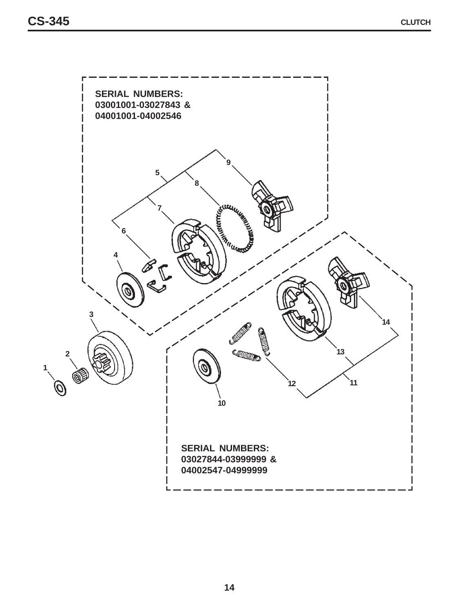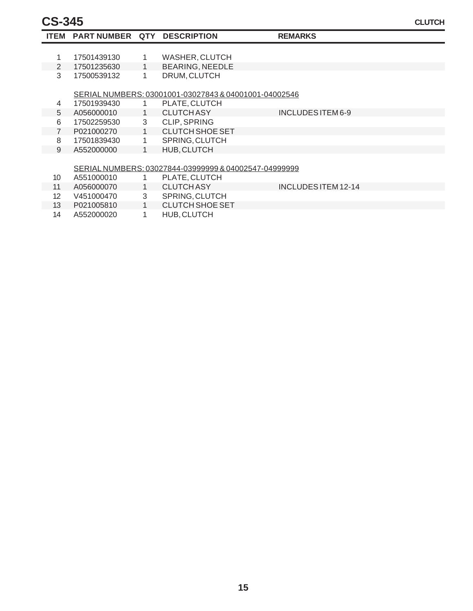| <b>ITEM</b>     | PART NUMBER QTY DESCRIPTION |              |                                                       | <b>REMARKS</b>             |  |
|-----------------|-----------------------------|--------------|-------------------------------------------------------|----------------------------|--|
|                 |                             |              |                                                       |                            |  |
|                 | 17501439130                 | 1.           | <b>WASHER, CLUTCH</b>                                 |                            |  |
| $\mathcal{P}$   | 17501235630                 | 1.           | <b>BEARING, NEEDLE</b>                                |                            |  |
| 3               | 17500539132                 | 1.           | DRUM, CLUTCH                                          |                            |  |
|                 |                             |              |                                                       |                            |  |
|                 |                             |              | SERIAL NUMBERS: 03001001-03027843 & 04001001-04002546 |                            |  |
| 4               | 17501939430                 |              | PLATE, CLUTCH                                         |                            |  |
| 5               | A056000010                  | $\mathbf{1}$ | <b>CLUTCH ASY</b>                                     | INCLUDES ITEM 6-9          |  |
| 6               | 17502259530                 | 3            | <b>CLIP, SPRING</b>                                   |                            |  |
| $\overline{7}$  | P021000270                  | $\mathbf{1}$ | CLUTCH SHOE SET                                       |                            |  |
| 8               | 17501839430                 | 1.           | SPRING, CLUTCH                                        |                            |  |
| 9               | A552000000                  |              | HUB, CLUTCH                                           |                            |  |
|                 |                             |              |                                                       |                            |  |
|                 |                             |              | SERIAL NUMBERS: 03027844-03999999 & 04002547-04999999 |                            |  |
| 10              | A551000010                  |              | PLATE, CLUTCH                                         |                            |  |
| 11              | A056000070                  | 1            | <b>CLUTCH ASY</b>                                     | <b>INCLUDES ITEM 12-14</b> |  |
| 12 <sup>°</sup> | V451000470                  | 3            | <b>SPRING, CLUTCH</b>                                 |                            |  |

- 13 1 CLUTCH SHOE SET
	- 14 A552000020 1 HUB, CLUTCH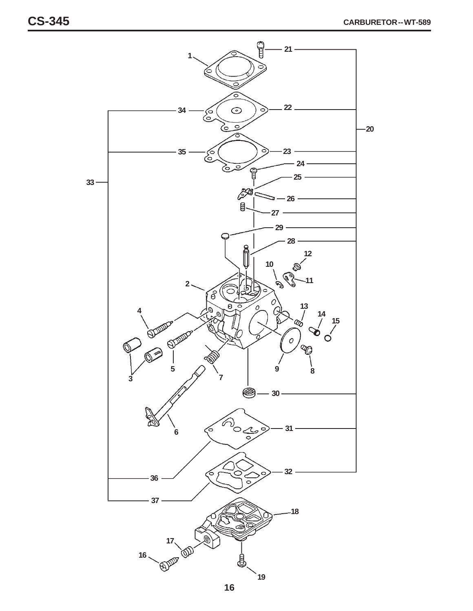